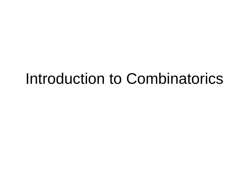### Introduction to Combinatorics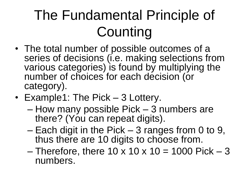# The Fundamental Principle of **Counting**

- The total number of possible outcomes of a series of decisions (i.e. making selections from various categories) is found by multiplying the number of choices for each decision (or category).
- Example1: The Pick 3 Lottery.
	- How many possible Pick 3 numbers are there? (You can repeat digits).
	- Each digit in the Pick 3 ranges from 0 to 9, thus there are 10 digits to choose from.
	- Therefore, there  $10 \times 10 \times 10 = 1000$  Pick 3 numbers.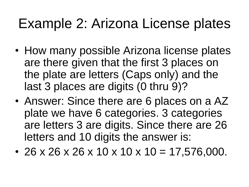### Example 2: Arizona License plates

- How many possible Arizona license plates are there given that the first 3 places on the plate are letters (Caps only) and the last 3 places are digits (0 thru 9)?
- Answer: Since there are 6 places on a AZ plate we have 6 categories. 3 categories are letters 3 are digits. Since there are 26 letters and 10 digits the answer is:
- 26 x 26 x 26 x 10 x 10 x 10 = 17,576,000.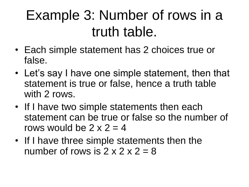### Example 3: Number of rows in a truth table.

- Each simple statement has 2 choices true or false.
- Let's say I have one simple statement, then that statement is true or false, hence a truth table with 2 rows.
- If I have two simple statements then each statement can be true or false so the number of rows would be  $2 \times 2 = 4$
- If I have three simple statements then the number of rows is  $2 \times 2 \times 2 = 8$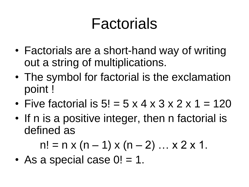# Factorials

- Factorials are a short-hand way of writing out a string of multiplications.
- The symbol for factorial is the exclamation point !
- Five factorial is  $5! = 5 \times 4 \times 3 \times 2 \times 1 = 120$
- If n is a positive integer, then n factorial is defined as

$$
n! = n \times (n - 1) \times (n - 2) \dots \times 2 \times 1.
$$

• As a special case  $0! = 1$ .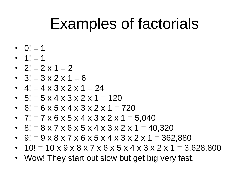## Examples of factorials

- $Q! = 1$
- $1! = 1$
- $2! = 2 \times 1 = 2$
- $3! = 3 \times 2 \times 1 = 6$
- $4! = 4 \times 3 \times 2 \times 1 = 24$
- $5! = 5 \times 4 \times 3 \times 2 \times 1 = 120$
- 6! = 6 x 5 x 4 x 3 x 2 x 1 = 720
- $7! = 7 \times 6 \times 5 \times 4 \times 3 \times 2 \times 1 = 5,040$
- 8! =  $8 \times 7 \times 6 \times 5 \times 4 \times 3 \times 2 \times 1 = 40,320$
- 9! =  $9 \times 8 \times 7 \times 6 \times 5 \times 4 \times 3 \times 2 \times 1 = 362,880$
- $10! = 10 \times 9 \times 8 \times 7 \times 6 \times 5 \times 4 \times 3 \times 2 \times 1 = 3,628,800$
- Wow! They start out slow but get big very fast.